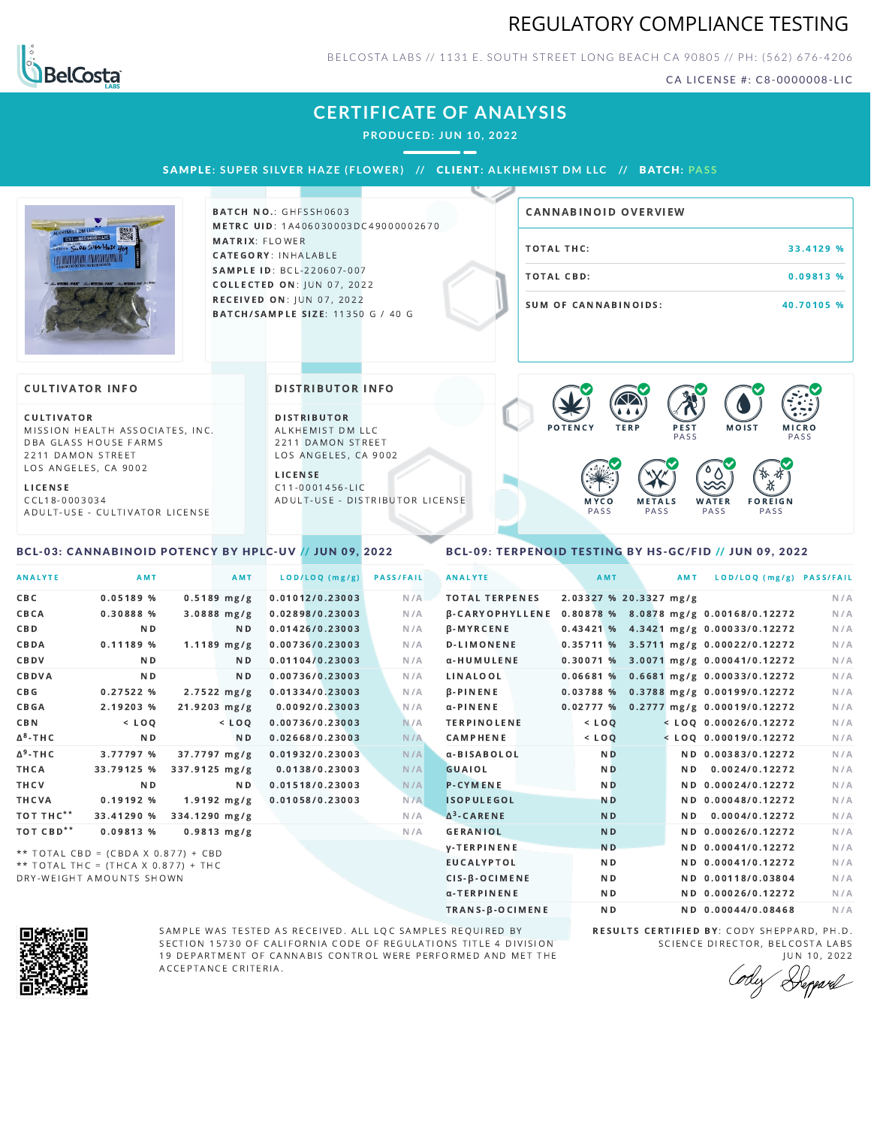## REGULATORY COMPLIANCE TESTING



BELCOSTA LABS // 1131 E. SOUTH STREET LONG BEACH C A 90805 // PH: (562) 676-4206

CA LICENSE #: C8-0000008-LIC

### **CERTIFICATE OF ANALYSIS**

**PRODUCED: JUN 10, 2022**

SAMPLE: SUPER SILVER HAZE (FLOWER) // CLIENT: ALKHEMIST DM LLC // BATCH: PASS



**BATCH NO.: GHFSSH0603** METRC UID: 1A406030003DC49000002670 MATRIX: FLOWER CATEGORY: INHALABLE SAMPLE ID: BCL-220607-007 **COLLECTED ON: JUN 07, 2022** RECEIVED ON: JUN 07, 2022 BATCH/SAMPLE SIZE: 11350 G / 40 G

# TOTAL THC: 33.4129 % TOTAL CBD: 0.09813 % SUM OF CANNABINOIDS: 40.70105 % CANNABINOID OVERVIEW

#### **CULTIVATOR INFO**

**CULTIVATOR** MISSION HEALTH ASSOCIATES, INC. DBA GLASS HOUSE FARMS 2211 DAMON STREET LOS ANGELES, CA 9002

L I C E N S E C C L 1 8 - 0 0 0 3 0 3 4

A D U L T - U S E - C U L T I V A T O R L I CENSE

<span id="page-0-0"></span>BCL-03: CANNABINOID POTENCY BY HPLC-UV // JUN 09, 2022

DISTRIBUTOR INFO

D I STRIBUTOR ALKHEMIST DM LLC 2211 DAMON STREET LOS ANGELES, CA 9002

L I C E N S E C 1 1 - 0 0 0 1 4 5 6 - L I C A D U L T - U S E - D I STRIBUTOR LICENSE



#### <span id="page-0-1"></span>BCL-09: TERPENOID TESTING BY HS-GC/FID // JUN 09, 2022

| <b>ANALYTE</b>        | AMT                                 | <b>AMT</b>       | LOD/LOQ (mg/g)  | <b>PASS/FAIL</b> | <b>ANALYTE</b>         | AMT            | AMT                    | LOD/LOQ (mg/g) PASS/FAIL                |     |
|-----------------------|-------------------------------------|------------------|-----------------|------------------|------------------------|----------------|------------------------|-----------------------------------------|-----|
| CBC                   | 0.05189%                            | $0.5189$ mg/g    | 0.01012/0.23003 | N/A              | <b>TOTAL TERPENES</b>  |                | 2.03327 % 20.3327 mg/g |                                         | N/A |
| CBCA                  | 0.30888 %                           | $3.0888$ mg/g    | 0.02898/0.23003 | N/A              | <b>B-CARYOPHYLLENE</b> |                |                        | 0.80878 % 8.0878 mg/g 0.00168/0.12272   | N/A |
| <b>CBD</b>            | N <sub>D</sub>                      | ND.              | 0.01426/0.23003 | N/A              | $\beta$ -MYRCENE       |                |                        | 0.43421 % 4.3421 mg/g 0.00033/0.12272   | N/A |
| CBDA                  | 0.11189%                            | $1.1189$ mg/g    | 0.00736/0.23003 | N/A              | <b>D-LIMONENE</b>      |                |                        | $0.35711$ % 3.5711 mg/g 0.00022/0.12272 | N/A |
| CBDV                  | N <sub>D</sub>                      | ND.              | 0.01104/0.23003 | N/A              | α-HUMULENE             |                |                        | 0.30071 % 3.0071 mg/g 0.00041/0.12272   | N/A |
| CBDVA                 | N <sub>D</sub>                      | N <sub>D</sub>   | 0.00736/0.23003 | N/A              | <b>LINALOOL</b>        |                |                        | $0.06681$ % 0.6681 mg/g 0.00033/0.12272 | N/A |
| CBG                   | 0.27522%                            | $2.7522 \, mg/g$ | 0.01334/0.23003 | N/A              | $\beta$ -PINENE        |                |                        | 0.03788 % 0.3788 mg/g 0.00199/0.12272   | N/A |
| <b>CBGA</b>           | 2.19203 %                           | $21.9203$ mg/g   | 0.0092/0.23003  | N/A              | $\alpha$ -PINENE       |                |                        | $0.02777$ % 0.2777 mg/g 0.00019/0.12272 | N/A |
| <b>CBN</b>            | $<$ LOO                             | $<$ LOO          | 0.00736/0.23003 | N/A              | <b>TERPINOLENE</b>     | $<$ LOQ        |                        | $<$ LOQ 0.00026/0.12272                 | N/A |
| $\Delta^8$ -THC       | N <sub>D</sub>                      | N <sub>D</sub>   | 0.02668/0.23003 | N/A              | <b>CAMPHENE</b>        | $<$ LOQ        |                        | $<$ LOQ 0.00019/0.12272                 | N/A |
| $\Delta^9$ -THC       | 3.77797 %                           | 37.7797 mg/g     | 0.01932/0.23003 | N/A              | α-BISABOLOL            | N <sub>D</sub> |                        | ND 0.00383/0.12272                      | N/A |
| <b>THCA</b>           | 33.79125 %                          | 337.9125 mg/g    | 0.0138/0.23003  | N/A              | <b>GUAIOL</b>          | <b>ND</b>      | ND.                    | 0.0024/0.12272                          | N/A |
| THCV                  | N <sub>D</sub>                      | ND.              | 0.01518/0.23003 | N/A              | <b>P-CYMENE</b>        | N <sub>D</sub> |                        | ND 0.00024/0.12272                      | N/A |
| THCVA                 | 0.19192%                            | $1.9192 \, mg/g$ | 0.01058/0.23003 | N/A              | <b>ISOPULEGOL</b>      | <b>ND</b>      |                        | ND 0.00048/0.12272                      | N/A |
| TOT THC**             | 33.41290 %                          | 334.1290 mg/g    |                 | N/A              | $\Delta^3$ -CARENE     | <b>ND</b>      |                        | ND 0.0004/0.12272                       | N/A |
| TOT CBD <sup>**</sup> | 0.09813 %                           | $0.9813$ mg/g    |                 | N/A              | <b>GERANIOL</b>        | <b>ND</b>      |                        | ND 0.00026/0.12272                      | N/A |
|                       | ** TOTAL CBD = (CBDA X 0.877) + CBD |                  |                 |                  | <b>V-TERPINENE</b>     | N <sub>D</sub> |                        | ND 0.00041/0.12272                      | N/A |
|                       | ** TOTAL THC = (THCA X 0.877) + THC |                  |                 |                  | <b>EUCALYPTOL</b>      | N <sub>D</sub> |                        | ND 0.00041/0.12272                      | N/A |
|                       | DRY-WEIGHT AMOUNTS SHOWN            |                  |                 |                  | CIS-B-OCIMENE          | N <sub>D</sub> |                        | ND 0.00118/0.03804                      | N/A |



SAMPLE WAS TESTED AS RECEIVED. ALL LQC SAMPLES REQUIRED BY SECTION 15730 OF CALIFORNIA CODE OF REGULATIONS TITLE 4 DIVISION 19 DEPARTMENT OF CANNABIS CONTROL WERE PERFORMED AND MET THE A C C E P T A N C E C R I T E R I A.

RESULTS CERTIFIED BY: CODY SHEPPARD, PH.D. SCIENCE DIRECTOR, BELCOSTA LABS

α-TERPINENE **ND ND 0.00026/0.12272** N/A TRANS-β-OCIMENE ND ND 0.00044/0.08468 N/A

JUN 10, 2022 Deppard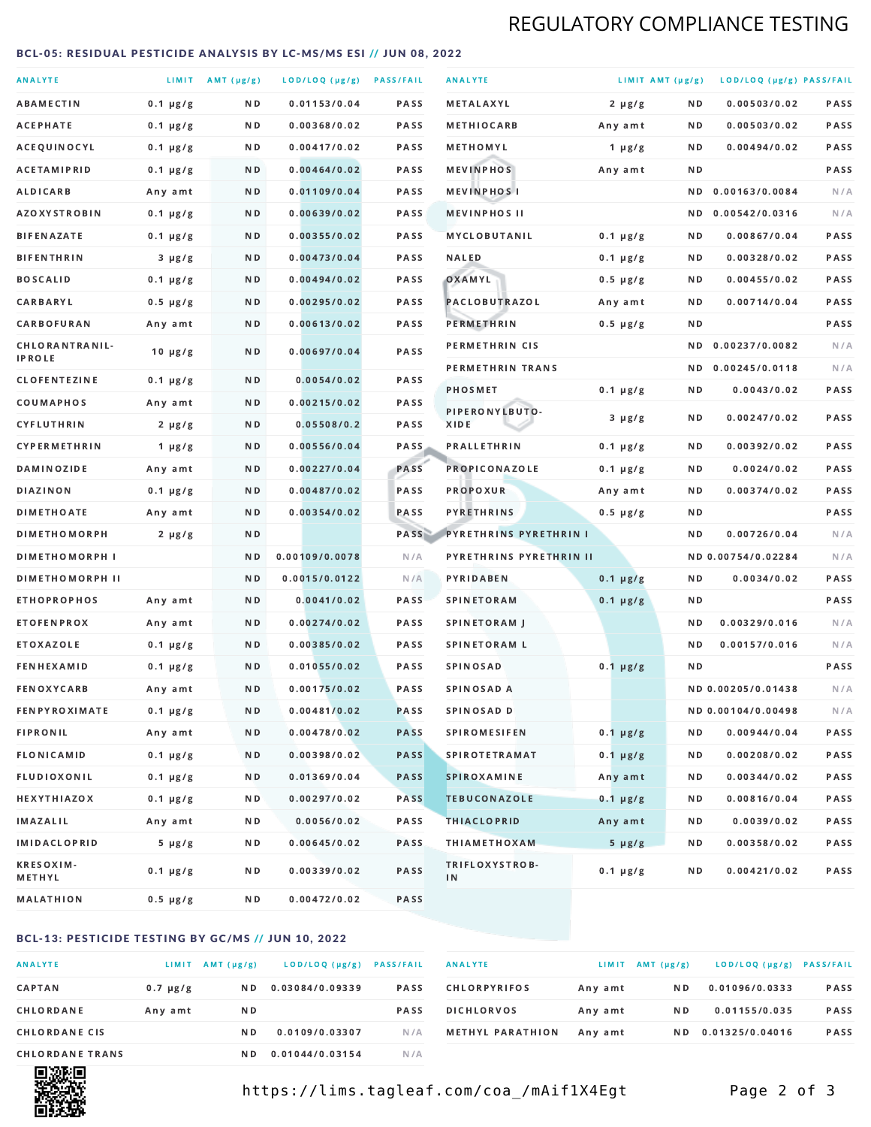# REGULATORY COMPLIANCE TESTING

#### <span id="page-1-0"></span>BCL-05: RESIDUAL PESTICIDE ANALYSIS BY LC-MS/MS ESI // JUN 08, 2022

| <b>ANALYTE</b>                  |               | LIMIT $AMT (\mu g/g)$ | LOD/LOQ (µg/g) PASS/FAIL |             | <b>ANALYTE</b>          | LIMIT AMT (µg/g) |     | LOD/LOQ (µg/g) PASS/FAIL |             |
|---------------------------------|---------------|-----------------------|--------------------------|-------------|-------------------------|------------------|-----|--------------------------|-------------|
| <b>ABAMECTIN</b>                | $0.1 \mu g/g$ | N D                   | 0.01153/0.04             | <b>PASS</b> | METALAXYL               | $2 \mu g/g$      | N D | 0.00503/0.02             | PASS        |
| <b>ACEPHATE</b>                 | $0.1 \mu g/g$ | ND.                   | 0.00368/0.02             | PASS        | <b>METHIOCARB</b>       | Any amt          | N D | 0.00503/0.02             | PASS        |
| ACEQUINOCYL                     | $0.1 \mu g/g$ | ND.                   | 0.00417/0.02             | PASS        | METHOMYL                | 1 $\mu$ g/g      | N D | 0.00494/0.02             | PASS        |
| <b>ACETAMIPRID</b>              | $0.1 \mu g/g$ | N D                   | 0.00464/0.02             | <b>PASS</b> | <b>MEVINPHOS</b>        | Any amt          | N D |                          | PASS        |
| <b>ALDICARB</b>                 | Any amt       | N D                   | 0.01109/0.04             | <b>PASS</b> | <b>MEVINPHOSI</b>       |                  | N D | 0.00163/0.0084           | N/A         |
| <b>AZOXYSTROBIN</b>             | $0.1 \mu g/g$ | ND.                   | 0.00639/0.02             | PASS        | <b>MEVINPHOS II</b>     |                  | N D | 0.00542/0.0316           | N/A         |
| <b>BIFENAZATE</b>               | $0.1 \mu g/g$ | N D                   | 0.00355/0.02             | PASS        | <b>MYCLOBUTANIL</b>     | $0.1 \mu g/g$    | N D | 0.00867/0.04             | PASS        |
| <b>BIFENTHRIN</b>               | $3 \mu g/g$   | N D                   | 0.00473/0.04             | <b>PASS</b> | <b>NALED</b>            | $0.1 \mu g/g$    | N D | 0.00328/0.02             | PASS        |
| <b>BOSCALID</b>                 | $0.1 \mu g/g$ | ND.                   | 0.00494/0.02             | PASS        | OXAMYL                  | $0.5 \mu g/g$    | N D | 0.00455/0.02             | PASS        |
| CARBARYL                        | $0.5 \mu g/g$ | N D                   | 0.00295/0.02             | PASS        | PACLOBUTRAZOL           | Any amt          | N D | 0.00714/0.04             | <b>PASS</b> |
| CARBOFURAN                      | Any amt       | N D                   | 0.00613/0.02             | <b>PASS</b> | <b>PERMETHRIN</b>       | $0.5 \mu g/g$    | N D |                          | PASS        |
| CHLORANTRANIL-<br><b>IPROLE</b> | $10 \mu g/g$  | N D                   | 0.00697/0.04             | PASS        | PERMETHRIN CIS          |                  | N D | 0.00237/0.0082           | N/A         |
| <b>CLOFENTEZINE</b>             | $0.1 \mu g/g$ | N D                   | 0.0054/0.02              | <b>PASS</b> | PERMETHRIN TRANS        |                  | N D | 0.00245/0.0118           | N/A         |
| COUMAPHOS                       | Any amt       | N D                   | 0.00215/0.02             | <b>PASS</b> | <b>PHOSMET</b>          | $0.1 \mu g/g$    | N D | 0.0043/0.02              | PASS        |
| CYFLUTHRIN                      | $2 \mu g/g$   | ND.                   | 0.05508/0.2              | <b>PASS</b> | PIPERONYLBUTO-<br>XIDE  | $3 \mu g/g$      | N D | 0.00247/0.02             | PASS        |
| <b>CYPERMETHRIN</b>             | 1 $\mu$ g/g   | N D                   | 0.00556/0.04             | <b>PASS</b> | <b>PRALLETHRIN</b>      | $0.1 \mu g/g$    | N D | 0.00392/0.02             | PASS        |
| <b>DAMINOZIDE</b>               | Any amt       | N D                   | 0.00227/0.04             | PASS        | <b>PROPICONAZOLE</b>    | $0.1 \mu g/g$    | N D | 0.0024/0.02              | PASS        |
| <b>DIAZINON</b>                 | $0.1 \mu g/g$ | N D                   | 0.00487/0.02             | <b>PASS</b> | <b>PROPOXUR</b>         | Any amt          | N D | 0.00374/0.02             | PASS        |
| <b>DIMETHOATE</b>               | Any amt       | ND.                   | 0.00354/0.02             | PASS        | <b>PYRETHRINS</b>       | $0.5 \mu g/g$    | N D |                          | PASS        |
| <b>DIMETHOMORPH</b>             | $2 \mu g/g$   | N D                   |                          | PASS        | PYRETHRINS PYRETHRIN I  |                  | N D | 0.00726/0.04             | N/A         |
| <b>DIMETHOMORPH I</b>           |               | N D                   | 0.00109/0.0078           | N/A         | PYRETHRINS PYRETHRIN II |                  |     | ND 0.00754/0.02284       | N/A         |
| <b>DIMETHOMORPH II</b>          |               | ND                    | 0.0015/0.0122            | N/A         | PYRIDABEN               | $0.1 \mu g/g$    | N D | 0.0034/0.02              | PASS        |
| <b>ETHOPROPHOS</b>              | Any amt       | ND.                   | 0.0041/0.02              | PASS        | <b>SPINETORAM</b>       | $0.1 \mu g/g$    | N D |                          | PASS        |
| <b>ETOFENPROX</b>               | Any amt       | N D                   | 0.00274/0.02             | <b>PASS</b> | <b>SPINETORAM J</b>     |                  | N D | 0.00329/0.016            | N/A         |
| <b>ETOXAZOLE</b>                | $0.1 \mu g/g$ | N D                   | 0.00385/0.02             | PASS        | <b>SPINETORAM L</b>     |                  | N D | 0.00157/0.016            | N/A         |
| <b>FENHEXAMID</b>               | $0.1 \mu g/g$ | N D                   | 0.01055/0.02             | <b>PASS</b> | <b>SPINOSAD</b>         | $0.1 \mu g/g$    | N D |                          | <b>PASS</b> |
| <b>FENOXYCARB</b>               | Any amt       | N D                   | 0.00175/0.02             | <b>PASS</b> | SPINOSAD A              |                  |     | ND 0.00205/0.01438       | N/A         |
| <b>FENPYROXIMATE</b>            | $0.1 \mu g/g$ | N D                   | 0.00481/0.02             | <b>PASS</b> | SPINOSAD D              |                  |     | ND 0.00104/0.00498       | N/A         |
| <b>FIPRONIL</b>                 | Any amt       | N D                   | 0.00478/0.02             | <b>PASS</b> | <b>SPIROMESIFEN</b>     | $0.1 \mu g/g$    | N D | 0.00944/0.04             | PASS        |
| <b>FLONICAMID</b>               | $0.1 \mu g/g$ | N D                   | 0.00398/0.02             | <b>PASS</b> | <b>SPIROTETRAMAT</b>    | $0.1 \mu g/g$    | N D | 0.00208/0.02             | PASS        |
| FLUDIOXONIL                     | $0.1 \mu g/g$ | N D                   | 0.01369/0.04             | <b>PASS</b> | <b>SPIROXAMINE</b>      | Any amt          | N D | 0.00344/0.02             | PASS        |
| <b>HEXYTHIAZOX</b>              | 0.1 µg/g      | N D                   | 0.00297/0.02             | <b>PASS</b> | <b>TEBUCONAZOLE</b>     | $0.1 \mu g/g$    | N D | 0.00816/0.04             | PASS        |
| IMAZALIL                        | Any amt       | N D                   | 0.0056/0.02              | <b>PASS</b> | <b>THIACLOPRID</b>      | Any amt          | N D | 0.0039/0.02              | PASS        |
| <b>IMIDACLOPRID</b>             | $5 \mu g/g$   | N D                   | 0.00645/0.02             | PASS        | <b>THIAMETHOXAM</b>     | $5 \mu g/g$      | N D | 0.00358/0.02             | PASS        |
| <b>KRESOXIM-</b><br>METHYL      | $0.1 \mu g/g$ | N D                   | 0.00339/0.02             | PASS        | TRIFLOXYSTROB-<br>IN    | $0.1 \mu g/g$    | N D | 0.00421/0.02             | PASS        |
| MALATHION                       | 0.5 µg/g      | N D                   | 0.00472/0.02             | PASS        |                         |                  |     |                          |             |

### BCL-13: PESTICIDE TESTING BY GC/MS // JUN 10, 2022

| <b>ANALYTE</b>         | LIMIT         | $AMT(\mu g/g)$ | LOD/LOQ (µg/g)  | <b>PASS/FAIL</b> |
|------------------------|---------------|----------------|-----------------|------------------|
| <b>CAPTAN</b>          | $0.7 \mu g/g$ | N D            | 0.03084/0.09339 | <b>PASS</b>      |
| CHLORDANE              | Any amt       | N D            |                 | <b>PASS</b>      |
| <b>CHLORDANE CIS</b>   |               | N D            | 0.0109/0.03307  | N/A              |
| <b>CHLORDANE TRANS</b> |               | N D            | 0.01044/0.03154 | N / A            |

| <b>ANALYTE</b>          | <b>LIMIT</b> | $AMT(\mu g/g)$ | LOD/LOQ (µg/g)  | <b>PASS/FAIL</b> |
|-------------------------|--------------|----------------|-----------------|------------------|
| <b>CHLORPYRIFOS</b>     | Any amt      | N D            | 0.01096/0.0333  | <b>PASS</b>      |
| <b>DICHLORVOS</b>       | Any amt      | N D            | 0.01155/0.035   | <b>PASS</b>      |
| <b>METHYL PARATHION</b> | Any amt      | N D            | 0.01325/0.04016 | <b>PASS</b>      |